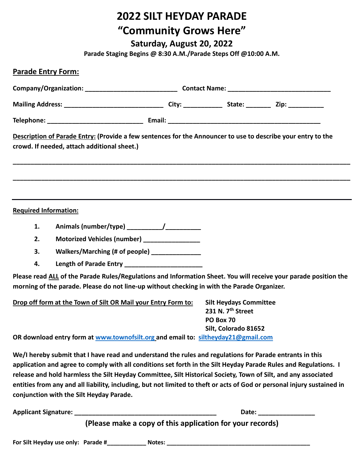# **2022 SILT HEYDAY PARADE "Community Grows Here"**

**Saturday, August 20, 2022**

**Parade Staging Begins @ 8:30 A.M./Parade Steps Off @10:00 A.M.**

| <b>Parade Entry Form:</b>                                                                                                                                                                                       |                                                                                                                                                                     |  |                                   |                             |  |
|-----------------------------------------------------------------------------------------------------------------------------------------------------------------------------------------------------------------|---------------------------------------------------------------------------------------------------------------------------------------------------------------------|--|-----------------------------------|-----------------------------|--|
|                                                                                                                                                                                                                 |                                                                                                                                                                     |  |                                   |                             |  |
|                                                                                                                                                                                                                 |                                                                                                                                                                     |  |                                   |                             |  |
|                                                                                                                                                                                                                 |                                                                                                                                                                     |  |                                   |                             |  |
| Description of Parade Entry: (Provide a few sentences for the Announcer to use to describe your entry to the                                                                                                    |                                                                                                                                                                     |  |                                   |                             |  |
| crowd. If needed, attach additional sheet.)                                                                                                                                                                     |                                                                                                                                                                     |  |                                   |                             |  |
|                                                                                                                                                                                                                 |                                                                                                                                                                     |  |                                   |                             |  |
|                                                                                                                                                                                                                 |                                                                                                                                                                     |  |                                   |                             |  |
|                                                                                                                                                                                                                 |                                                                                                                                                                     |  |                                   |                             |  |
| <b>Required Information:</b>                                                                                                                                                                                    |                                                                                                                                                                     |  |                                   |                             |  |
| 1.                                                                                                                                                                                                              |                                                                                                                                                                     |  |                                   |                             |  |
| 2.                                                                                                                                                                                                              | Motorized Vehicles (number) ________________                                                                                                                        |  |                                   |                             |  |
| 3.                                                                                                                                                                                                              | Walkers/Marching (# of people) ______________                                                                                                                       |  |                                   |                             |  |
| 4.                                                                                                                                                                                                              | Length of Parade Entry ______________________                                                                                                                       |  |                                   |                             |  |
| Please read ALL of the Parade Rules/Regulations and Information Sheet. You will receive your parade position the<br>morning of the parade. Please do not line-up without checking in with the Parade Organizer. |                                                                                                                                                                     |  |                                   |                             |  |
| Drop off form at the Town of Silt OR Mail your Entry Form to:                                                                                                                                                   |                                                                                                                                                                     |  | <b>Silt Heydays Committee</b>     |                             |  |
|                                                                                                                                                                                                                 |                                                                                                                                                                     |  | 231 N. 7 <sup>th</sup> Street     |                             |  |
|                                                                                                                                                                                                                 |                                                                                                                                                                     |  | PO Box 70<br>Silt, Colorado 81652 |                             |  |
|                                                                                                                                                                                                                 | OR download entry form at www.townofsilt.org and email to: siltheyday21@gmail.com                                                                                   |  |                                   |                             |  |
|                                                                                                                                                                                                                 | We/I hereby submit that I have read and understand the rules and regulations for Parade entrants in this                                                            |  |                                   |                             |  |
| application and agree to comply with all conditions set forth in the Silt Heyday Parade Rules and Regulations. I                                                                                                |                                                                                                                                                                     |  |                                   |                             |  |
| release and hold harmless the Silt Heyday Committee, Silt Historical Society, Town of Silt, and any associated                                                                                                  |                                                                                                                                                                     |  |                                   |                             |  |
|                                                                                                                                                                                                                 | entities from any and all liability, including, but not limited to theft or acts of God or personal injury sustained in<br>conjunction with the Silt Heyday Parade. |  |                                   |                             |  |
|                                                                                                                                                                                                                 | (please make a sony of this application for your reserve)                                                                                                           |  |                                   | Date: _____________________ |  |

**(Please make a copy of this application for your records)**

**For Silt Heyday use only: Parade #\_\_\_\_\_\_\_\_\_\_\_\_ Notes: \_\_\_\_\_\_\_\_\_\_\_\_\_\_\_\_\_\_\_\_\_\_\_\_\_\_\_\_\_\_\_\_\_\_\_\_\_\_\_\_\_\_\_\_**